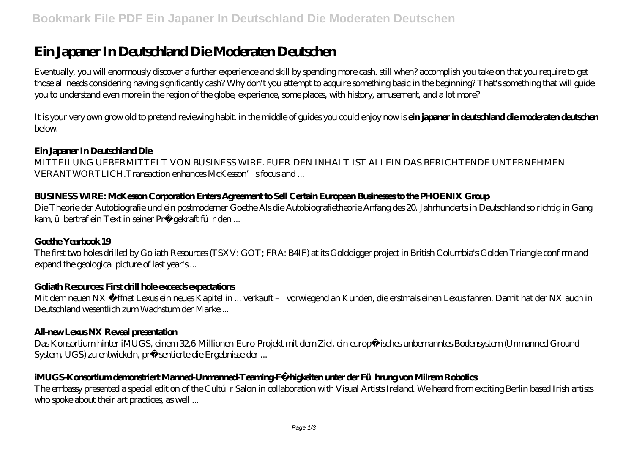# **Ein Japaner In Deutschland Die Moderaten Deutschen**

Eventually, you will enormously discover a further experience and skill by spending more cash. still when? accomplish you take on that you require to get those all needs considering having significantly cash? Why don't you attempt to acquire something basic in the beginning? That's something that will guide you to understand even more in the region of the globe, experience, some places, with history, amusement, and a lot more?

It is your very own grow old to pretend reviewing habit, in the middle of guides you could enjoy now is **ein japaner in deutschland die moderaten deutschen** below.

#### **Ein Japaner In Deutschland Die**

MITTEILUNG UEBERMITTELT VON BUSINESS WIRE. FUER DEN INHALT IST ALLEIN DAS BERICHTENDE UNTERNEHMEN VERANTWORTLICH.Transaction enhances McKesson's focus and ...

# **BUSINESS WIRE: McKesson Corporation Enters Agreement to Sell Certain European Businesses to the PHOENIX Group**

Die Theorie der Autobiografie und ein postmoderner Goethe Als die Autobiografietheorie Anfang des 20. Jahrhunderts in Deutschland so richtig in Gang kam, übertraf ein Text in seiner Prägekraft für den ...

#### **Goethe Yearbook 19**

The first two holes drilled by Goliath Resources (TSXV: GOT; FRA: B4IF) at its Golddigger project in British Columbia's Golden Triangle confirm and expand the geological picture of last year's ...

#### **Goliath Resources: First drill hole exceeds expectations**

Mit dem neuen NX öffnet Lexus ein neues Kapitel in ... verkauft – vorwiegend an Kunden, die erstmals einen Lexus fahren. Damit hat der NX auch in Deutschland wesentlich zum Wachstum der Marke ...

#### **All-new Lexus NX Reveal presentation**

Das Konsortium hinter iMUGS, einem 32,6-Millionen-Euro-Projekt mit dem Ziel, ein europäisches unbemanntes Bodensystem (Unmanned Ground System, UGS) zu entwickeln, präsentierte die Ergebnisse der ...

# **iMUGS-Konsortium demonstriert Manned-Unmanned-Teaming-Fähigkeiten unter der Führung von Milrem Robotics**

The embassy presented a special edition of the Cultúr Salon in collaboration with Visual Artists Ireland. We heard from exciting Berlin based Irish artists who spoke about their art practices, as well ...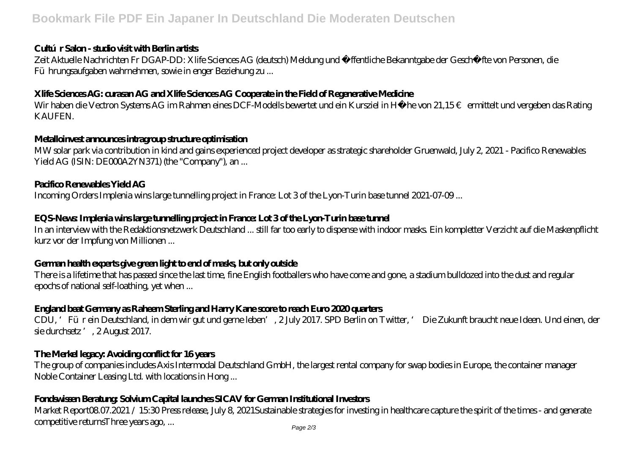#### **Cultúr Salon - studio visit with Berlin artists**

Zeit Aktuelle Nachrichten Fr DGAP-DD: Xlife Sciences AG (deutsch) Meldung und öffentliche Bekanntgabe der Geschäfte von Personen, die Führungsaufgaben wahrnehmen, sowie in enger Beziehung zu ...

# **Xlife Sciences AG: curasan AG and Xlife Sciences AG Cooperate in the Field of Regenerative Medicine**

Wir haben die Vectron Systems AG im Rahmen eines DCF-Modells bewertet und ein Kursziel in Höhe von 21,15€ ermittelt und vergeben das Rating KAUFEN.

# **Metalloinvest announces intragroup structure optimisation**

MW solar park via contribution in kind and gains experienced project developer as strategic shareholder Gruenwald, July 2, 2021 - Pacifico Renewables Yield AG (ISIN: DE000A2YN371) (the "Company"), an...

# **Pacifico Renewables Yield AG**

Incoming Orders Implenia wins large tunnelling project in France: Lot 3 of the Lyon-Turin base tunnel 2021-07-09 ...

# **EQS-News: Implenia wins large tunnelling project in France: Lot 3 of the Lyon-Turin base tunnel**

In an interview with the Redaktionsnetzwerk Deutschland ... still far too early to dispense with indoor masks. Ein kompletter Verzicht auf die Maskenpflicht kurz vor der Impfung von Millionen ...

# **German health experts give green light to end of masks, but only outside**

There is a lifetime that has passed since the last time, fine English footballers who have come and gone, a stadium bulldozed into the dust and regular epochs of national self-loathing, yet when ...

# **England beat Germany as Raheem Sterling and Harry Kane score to reach Euro 2020 quarters**

CDU, 'Für ein Deutschland, in dem wir gut und gerne leben', 2 July 2017. SPD Berlin on Twitter, ' Die Zukunft braucht neue Ideen. Und einen, der sie durchsetz ', 2 August 2017.

# **The Merkel legacy: Avoiding conflict for 16 years**

The group of companies includes Axis Intermodal Deutschland GmbH, the largest rental company for swap bodies in Europe, the container manager Noble Container Leasing Ltd. with locations in Hong ...

# **Fondswissen Beratung: Solvium Capital launches SICAV for German Institutional Investors**

Market Report08.07.2021 / 15:30 Press release, July 8, 2021Sustainable strategies for investing in healthcare capture the spirit of the times - and generate competitive returnsThree years ago, ...